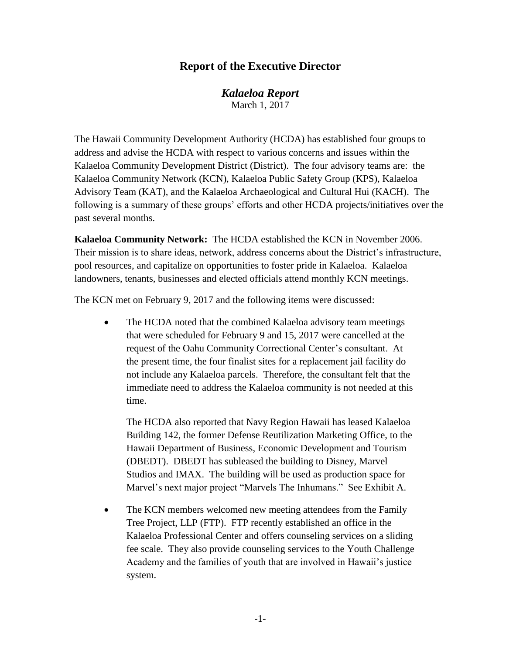# **Report of the Executive Director**

*Kalaeloa Report* March 1, 2017

The Hawaii Community Development Authority (HCDA) has established four groups to address and advise the HCDA with respect to various concerns and issues within the Kalaeloa Community Development District (District). The four advisory teams are: the Kalaeloa Community Network (KCN), Kalaeloa Public Safety Group (KPS), Kalaeloa Advisory Team (KAT), and the Kalaeloa Archaeological and Cultural Hui (KACH). The following is a summary of these groups' efforts and other HCDA projects/initiatives over the past several months.

**Kalaeloa Community Network:** The HCDA established the KCN in November 2006. Their mission is to share ideas, network, address concerns about the District's infrastructure, pool resources, and capitalize on opportunities to foster pride in Kalaeloa. Kalaeloa landowners, tenants, businesses and elected officials attend monthly KCN meetings.

The KCN met on February 9, 2017 and the following items were discussed:

• The HCDA noted that the combined Kalaeloa advisory team meetings that were scheduled for February 9 and 15, 2017 were cancelled at the request of the Oahu Community Correctional Center's consultant. At the present time, the four finalist sites for a replacement jail facility do not include any Kalaeloa parcels. Therefore, the consultant felt that the immediate need to address the Kalaeloa community is not needed at this time.

The HCDA also reported that Navy Region Hawaii has leased Kalaeloa Building 142, the former Defense Reutilization Marketing Office, to the Hawaii Department of Business, Economic Development and Tourism (DBEDT). DBEDT has subleased the building to Disney, Marvel Studios and IMAX. The building will be used as production space for Marvel's next major project "Marvels The Inhumans." See Exhibit A.

• The KCN members welcomed new meeting attendees from the Family Tree Project, LLP (FTP). FTP recently established an office in the Kalaeloa Professional Center and offers counseling services on a sliding fee scale. They also provide counseling services to the Youth Challenge Academy and the families of youth that are involved in Hawaii's justice system.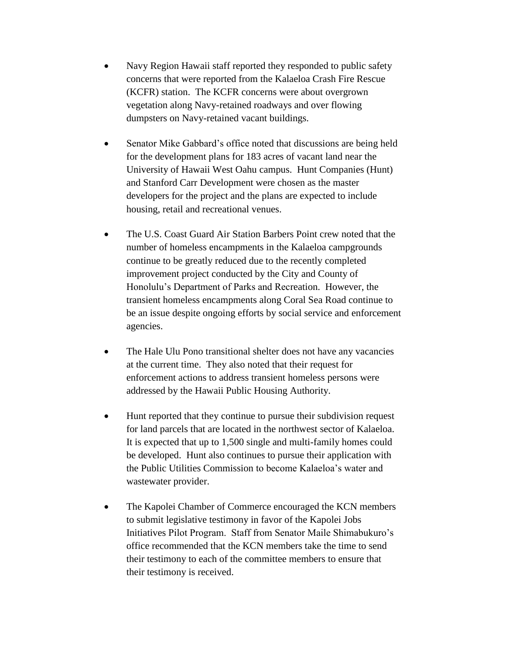- Navy Region Hawaii staff reported they responded to public safety concerns that were reported from the Kalaeloa Crash Fire Rescue (KCFR) station. The KCFR concerns were about overgrown vegetation along Navy-retained roadways and over flowing dumpsters on Navy-retained vacant buildings.
- Senator Mike Gabbard's office noted that discussions are being held for the development plans for 183 acres of vacant land near the University of Hawaii West Oahu campus. Hunt Companies (Hunt) and Stanford Carr Development were chosen as the master developers for the project and the plans are expected to include housing, retail and recreational venues.
- The U.S. Coast Guard Air Station Barbers Point crew noted that the number of homeless encampments in the Kalaeloa campgrounds continue to be greatly reduced due to the recently completed improvement project conducted by the City and County of Honolulu's Department of Parks and Recreation. However, the transient homeless encampments along Coral Sea Road continue to be an issue despite ongoing efforts by social service and enforcement agencies.
- The Hale Ulu Pono transitional shelter does not have any vacancies at the current time. They also noted that their request for enforcement actions to address transient homeless persons were addressed by the Hawaii Public Housing Authority.
- Hunt reported that they continue to pursue their subdivision request for land parcels that are located in the northwest sector of Kalaeloa. It is expected that up to 1,500 single and multi-family homes could be developed. Hunt also continues to pursue their application with the Public Utilities Commission to become Kalaeloa's water and wastewater provider.
- The Kapolei Chamber of Commerce encouraged the KCN members to submit legislative testimony in favor of the Kapolei Jobs Initiatives Pilot Program. Staff from Senator Maile Shimabukuro's office recommended that the KCN members take the time to send their testimony to each of the committee members to ensure that their testimony is received.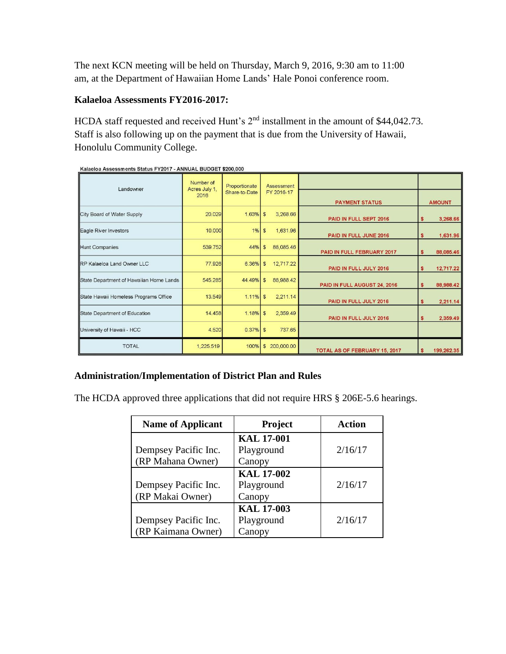The next KCN meeting will be held on Thursday, March 9, 2016, 9:30 am to 11:00 am, at the Department of Hawaiian Home Lands' Hale Ponoi conference room.

## **Kalaeloa Assessments FY2016-2017:**

HCDA staff requested and received Hunt's 2<sup>nd</sup> installment in the amount of \$44,042.73. Staff is also following up on the payment that is due from the University of Hawaii, Honolulu Community College.

| Malaciva Assessments Olatus FTZVTT - ANNOAL DODOLT VZV0,000 |                                    |                                |                             |                               |                 |
|-------------------------------------------------------------|------------------------------------|--------------------------------|-----------------------------|-------------------------------|-----------------|
| Landowner                                                   | Number of<br>Acres July 1,<br>2016 | Proportionate<br>Share-to-Date | Assessment<br>FY 2016-17    | <b>PAYMENT STATUS</b>         | <b>AMOUNT</b>   |
| City Board of Water Supply                                  | 20.029                             | $1.63\%$ \$                    | 3,268.66                    | PAID IN FULL SEPT 2016        | 3,268.66        |
| Eagle River Investors                                       | 10.000                             | 1%                             | 1,631.96<br>$\mathfrak{S}$  | PAID IN FULL JUNE 2016        | 1,631.96<br>\$  |
| <b>Hunt Companies</b>                                       | 539.752                            | 44%                            | 88,085.46<br>$\mathfrak{S}$ | PAID IN FULL FEBRUARY 2017    | 88,085.46<br>\$ |
| RP Kalaeloa Land Owner LLC                                  | 77.926                             | $6.36\%$ \$                    | 12,717.22                   | PAID IN FULL JULY 2016        | 12,717.22       |
| State Department of Hawaiian Home Lands                     | 545.285                            | 44.49% \$                      | 88,988.42                   | PAID IN FULL AUGUST 24, 2016  | 88,988.42<br>\$ |
| State Hawaii Homeless Programs Office                       | 13.549                             | $1.11\%$ \$                    | 2,211.14                    | PAID IN FULL JULY 2016        | 2,211.14        |
| State Department of Education                               | 14.458                             | $1.18\%$ \$                    | 2,359.49                    | PAID IN FULL JULY 2016        | 2,359.49        |
| University of Hawaii - HCC                                  | 4.520                              | $0.37\%$ \$                    | 737.65                      |                               |                 |
| <b>TOTAL</b>                                                | 1,225.519                          | 100%                           | 200,000.00<br>\$            | TOTAL AS OF FEBRUARY 15, 2017 | 199,262.35      |

| Kalaeloa Assessments Status FY2017 - ANNUAL BUDGET \$200,000 |  |  |  |
|--------------------------------------------------------------|--|--|--|
|                                                              |  |  |  |
|                                                              |  |  |  |

## **Administration/Implementation of District Plan and Rules**

The HCDA approved three applications that did not require HRS § 206E-5.6 hearings.

| <b>Name of Applicant</b>                   | Project                                   | <b>Action</b> |  |
|--------------------------------------------|-------------------------------------------|---------------|--|
| Dempsey Pacific Inc.<br>(RP Mahana Owner)  | <b>KAL 17-001</b><br>Playground<br>Canopy | 2/16/17       |  |
| Dempsey Pacific Inc.<br>(RP Makai Owner)   | <b>KAL 17-002</b><br>Playground<br>Canopy | 2/16/17       |  |
| Dempsey Pacific Inc.<br>(RP Kaimana Owner) | <b>KAL 17-003</b><br>Playground<br>Canopy | 2/16/17       |  |